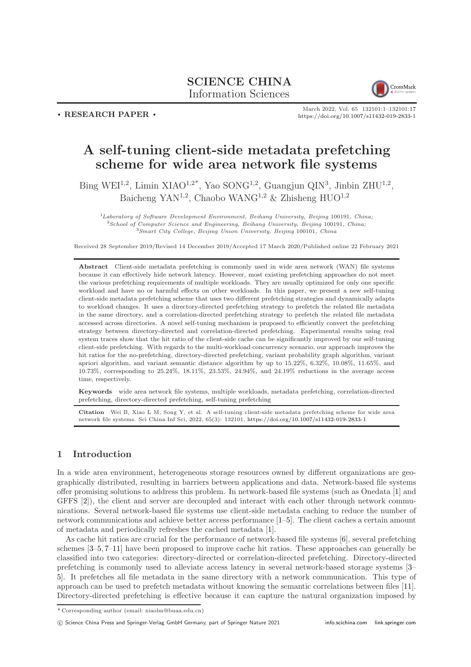# SCIENCE CHINA Information Sciences



. RESEARCH PAPER .

March 2022, Vol. 65 132101:1–132101[:17](#page-16-0) <https://doi.org/10.1007/s11432-019-2833-1>

# A self-tuning client-side metadata prefetching scheme for wide area network file systems

Bing WEI<sup>1,2</sup>, Limin XIAO<sup>1,2\*</sup>, Yao SONG<sup>1,2</sup>, Guangjun QIN<sup>3</sup>, Jinbin ZHU<sup>1,2</sup>, Baicheng YAN<sup>1,2</sup>, Chaobo WANG<sup>1,2</sup> & Zhisheng HUO<sup>1,2</sup>

 ${}^{1}$ Laboratory of Software Development Environment, Beihang University, Beijing 100191, China; <sup>2</sup>School of Computer Science and Engineering, Beihang University, Beijing 100191, China;  $3$ Smart City College, Beijing Union University, Beijing 100101, China

Received 28 September 2019/Revised 14 December 2019/Accepted 17 March 2020/Published online 22 February 2021

Abstract Client-side metadata prefetching is commonly used in wide area network (WAN) file systems because it can effectively hide network latency. However, most existing prefetching approaches do not meet the various prefetching requirements of multiple workloads. They are usually optimized for only one specific workload and have no or harmful effects on other workloads. In this paper, we present a new self-tuning client-side metadata prefetching scheme that uses two different prefetching strategies and dynamically adapts to workload changes. It uses a directory-directed prefetching strategy to prefetch the related file metadata in the same directory, and a correlation-directed prefetching strategy to prefetch the related file metadata accessed across directories. A novel self-tuning mechanism is proposed to efficiently convert the prefetching strategy between directory-directed and correlation-directed prefetching. Experimental results using real system traces show that the hit ratio of the client-side cache can be significantly improved by our self-tuning client-side prefetching. With regards to the multi-workload concurrency scenario, our approach improves the hit ratios for the no-prefetching, directory-directed prefetching, variant probability graph algorithm, variant apriori algorithm, and variant semantic distance algorithm by up to 15.22%, 6.32%, 10.08%, 11.65%, and 10.73%, corresponding to 25.24%, 18.11%, 23.53%, 24.94%, and 24.19% reductions in the average access time, respectively.

Keywords wide area network file systems, multiple workloads, metadata prefetching, correlation-directed prefetching, directory-directed prefetching, self-tuning prefetching

Citation Wei B, Xiao L M, Song Y, et al. A self-tuning client-side metadata prefetching scheme for wide area network file systems. Sci China Inf Sci, 2022, 65(3): 132101, <https://doi.org/10.1007/s11432-019-2833-1>

# 1 Introduction

In a wide area environment, heterogeneous storage resources owned by different organizations are geographically distributed, resulting in barriers between applications and data. Network-based file systems offer promising solutions to address this problem. In network-based file systems (such as Onedata [\[1\]](#page-16-1) and GFFS  $[2]$ , the client and server are decoupled and interact with each other through network communications. Several network-based file systems use client-side metadata caching to reduce the number of network communications and achieve better access performance [\[1–](#page-16-1)[5\]](#page-16-3). The client caches a certain amount of metadata and periodically refreshes the cached metadata [\[1\]](#page-16-1).

As cache hit ratios are crucial for the performance of network-based file systems [\[6\]](#page-16-4), several prefetching schemes [\[3](#page-16-5)[–5,](#page-16-3) [7](#page-16-6)[–11\]](#page-16-7) have been proposed to improve cache hit ratios. These approaches can generally be classified into two categories: directory-directed or correlation-directed prefetching. Directory-directed prefetching is commonly used to alleviate access latency in several network-based storage systems [\[3–](#page-16-5) [5\]](#page-16-3). It prefetches all file metadata in the same directory with a network communication. This type of approach can be used to prefetch metadata without knowing the semantic correlations between files [\[11\]](#page-16-7). Directory-directed prefetching is effective because it can capture the natural organization imposed by

c Science China Press and Springer-Verlag GmbH Germany, part of Springer Nature 2021 <info.scichina.com><link.springer.com>

<sup>\*</sup> Corresponding author (email: xiaolm@buaa.edu.cn)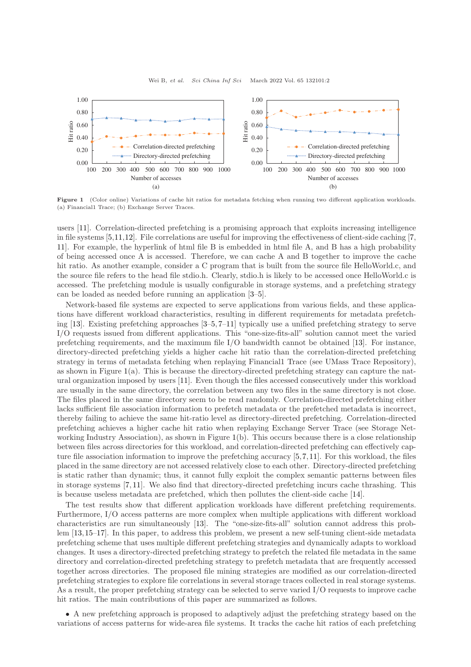<span id="page-1-0"></span>

Figure 1 (Color online) Variations of cache hit ratios for metadata fetching when running two different application workloads. (a) Financial1 Trace; (b) Exchange Server Traces.

users [\[11\]](#page-16-7). Correlation-directed prefetching is a promising approach that exploits increasing intelligence in file systems [\[5,](#page-16-3)[11,](#page-16-7)[12\]](#page-16-8). File correlations are useful for improving the effectiveness of client-side caching [\[7,](#page-16-6) [11\]](#page-16-7). For example, the hyperlink of html file B is embedded in html file A, and B has a high probability of being accessed once A is accessed. Therefore, we can cache A and B together to improve the cache hit ratio. As another example, consider a C program that is built from the source file HelloWorld.c, and the source file refers to the head file stdio.h. Clearly, stdio.h is likely to be accessed once HelloWorld.c is accessed. The prefetching module is usually configurable in storage systems, and a prefetching strategy can be loaded as needed before running an application [\[3–](#page-16-5)[5\]](#page-16-3).

Network-based file systems are expected to serve applications from various fields, and these applications have different workload characteristics, resulting in different requirements for metadata prefetching [\[13\]](#page-16-9). Existing prefetching approaches [\[3–](#page-16-5)[5,](#page-16-3) [7–](#page-16-6)[11\]](#page-16-7) typically use a unified prefetching strategy to serve I/O requests issued from different applications. This "one-size-fits-all" solution cannot meet the varied prefetching requirements, and the maximum file I/O bandwidth cannot be obtained [\[13\]](#page-16-9). For instance, directory-directed prefetching yields a higher cache hit ratio than the correlation-directed prefetching strategy in terms of metadata fetching when replaying Financial1 Trace (see UMass Trace Repository), as shown in Figure [1\(](#page-1-0)a). This is because the directory-directed prefetching strategy can capture the natural organization imposed by users [\[11\]](#page-16-7). Even though the files accessed consecutively under this workload are usually in the same directory, the correlation between any two files in the same directory is not close. The files placed in the same directory seem to be read randomly. Correlation-directed prefetching either lacks sufficient file association information to prefetch metadata or the prefetched metadata is incorrect, thereby failing to achieve the same hit-ratio level as directory-directed prefetching. Correlation-directed prefetching achieves a higher cache hit ratio when replaying Exchange Server Trace (see Storage Networking Industry Association), as shown in Figure [1\(](#page-1-0)b). This occurs because there is a close relationship between files across directories for this workload, and correlation-directed prefetching can effectively capture file association information to improve the prefetching accuracy [\[5,](#page-16-3)[7,](#page-16-6)[11\]](#page-16-7). For this workload, the files placed in the same directory are not accessed relatively close to each other. Directory-directed prefetching is static rather than dynamic; thus, it cannot fully exploit the complex semantic patterns between files in storage systems [\[7,](#page-16-6) [11\]](#page-16-7). We also find that directory-directed prefetching incurs cache thrashing. This is because useless metadata are prefetched, which then pollutes the client-side cache [\[14\]](#page-16-10).

The test results show that different application workloads have different prefetching requirements. Furthermore, I/O access patterns are more complex when multiple applications with different workload characteristics are run simultaneously [\[13\]](#page-16-9). The "one-size-fits-all" solution cannot address this problem [\[13,](#page-16-9)[15](#page-16-11)[–17\]](#page-16-12). In this paper, to address this problem, we present a new self-tuning client-side metadata prefetching scheme that uses multiple different prefetching strategies and dynamically adapts to workload changes. It uses a directory-directed prefetching strategy to prefetch the related file metadata in the same directory and correlation-directed prefetching strategy to prefetch metadata that are frequently accessed together across directories. The proposed file mining strategies are modified as our correlation-directed prefetching strategies to explore file correlations in several storage traces collected in real storage systems. As a result, the proper prefetching strategy can be selected to serve varied I/O requests to improve cache hit ratios. The main contributions of this paper are summarized as follows.

• A new prefetching approach is proposed to adaptively adjust the prefetching strategy based on the variations of access patterns for wide-area file systems. It tracks the cache hit ratios of each prefetching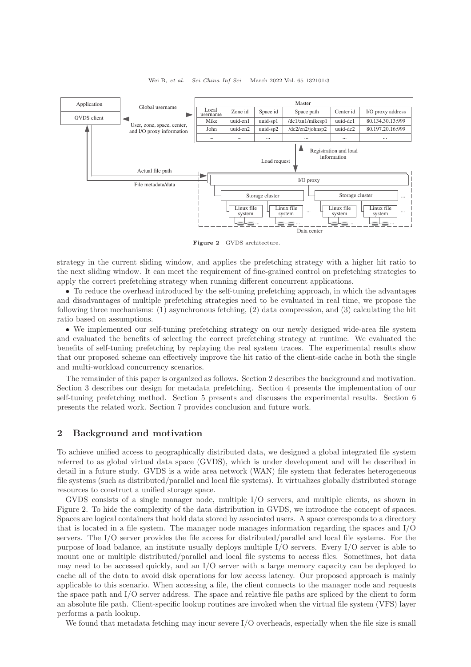<span id="page-2-0"></span>

Wei B, et al. Sci China Inf Sci March 2022 Vol. 65 132101:3

Figure 2 GVDS architecture.

strategy in the current sliding window, and applies the prefetching strategy with a higher hit ratio to the next sliding window. It can meet the requirement of fine-grained control on prefetching strategies to apply the correct prefetching strategy when running different concurrent applications.

• To reduce the overhead introduced by the self-tuning prefetching approach, in which the advantages and disadvantages of multiple prefetching strategies need to be evaluated in real time, we propose the following three mechanisms: (1) asynchronous fetching, (2) data compression, and (3) calculating the hit ratio based on assumptions.

• We implemented our self-tuning prefetching strategy on our newly designed wide-area file system and evaluated the benefits of selecting the correct prefetching strategy at runtime. We evaluated the benefits of self-tuning prefetching by replaying the real system traces. The experimental results show that our proposed scheme can effectively improve the hit ratio of the client-side cache in both the single and multi-workload concurrency scenarios.

The remainder of this paper is organized as follows. Section 2 describes the background and motivation. Section 3 describes our design for metadata prefetching. Section 4 presents the implementation of our self-tuning prefetching method. Section 5 presents and discusses the experimental results. Section 6 presents the related work. Section 7 provides conclusion and future work.

# 2 Background and motivation

To achieve unified access to geographically distributed data, we designed a global integrated file system referred to as global virtual data space (GVDS), which is under development and will be described in detail in a future study. GVDS is a wide area network (WAN) file system that federates heterogeneous file systems (such as distributed/parallel and local file systems). It virtualizes globally distributed storage resources to construct a unified storage space.

GVDS consists of a single manager node, multiple I/O servers, and multiple clients, as shown in Figure [2.](#page-2-0) To hide the complexity of the data distribution in GVDS, we introduce the concept of spaces. Spaces are logical containers that hold data stored by associated users. A space corresponds to a directory that is located in a file system. The manager node manages information regarding the spaces and I/O servers. The I/O server provides the file access for distributed/parallel and local file systems. For the purpose of load balance, an institute usually deploys multiple I/O servers. Every I/O server is able to mount one or multiple distributed/parallel and local file systems to access files. Sometimes, hot data may need to be accessed quickly, and an I/O server with a large memory capacity can be deployed to cache all of the data to avoid disk operations for low access latency. Our proposed approach is mainly applicable to this scenario. When accessing a file, the client connects to the manager node and requests the space path and I/O server address. The space and relative file paths are spliced by the client to form an absolute file path. Client-specific lookup routines are invoked when the virtual file system (VFS) layer performs a path lookup.

We found that metadata fetching may incur severe I/O overheads, especially when the file size is small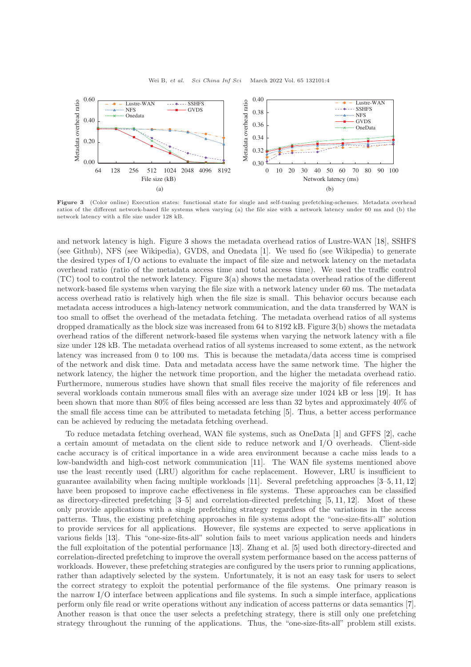<span id="page-3-0"></span>

Figure 3 (Color online) Execution states: functional state for single and self-tuning prefetching-schemes. Metadata overhead ratios of the different network-based file systems when varying (a) the file size with a network latency under 60 ms and (b) the network latency with a file size under 128 kB.

and network latency is high. Figure [3](#page-3-0) shows the metadata overhead ratios of Lustre-WAN [\[18\]](#page-16-13), SSHFS (see Github), NFS (see Wikipedia), GVDS, and Onedata [\[1\]](#page-16-1). We used fio (see Wikipedia) to generate the desired types of I/O actions to evaluate the impact of file size and network latency on the metadata overhead ratio (ratio of the metadata access time and total access time). We used the traffic control (TC) tool to control the network latency. Figure [3\(](#page-3-0)a) shows the metadata overhead ratios of the different network-based file systems when varying the file size with a network latency under 60 ms. The metadata access overhead ratio is relatively high when the file size is small. This behavior occurs because each metadata access introduces a high-latency network communication, and the data transferred by WAN is too small to offset the overhead of the metadata fetching. The metadata overhead ratios of all systems dropped dramatically as the block size was increased from 64 to 8192 kB. Figure [3\(](#page-3-0)b) shows the metadata overhead ratios of the different network-based file systems when varying the network latency with a file size under 128 kB. The metadata overhead ratios of all systems increased to some extent, as the network latency was increased from 0 to 100 ms. This is because the metadata/data access time is comprised of the network and disk time. Data and metadata access have the same network time. The higher the network latency, the higher the network time proportion, and the higher the metadata overhead ratio. Furthermore, numerous studies have shown that small files receive the majority of file references and several workloads contain numerous small files with an average size under 1024 kB or less [\[19\]](#page-16-14). It has been shown that more than 80% of files being accessed are less than 32 bytes and approximately 40% of the small file access time can be attributed to metadata fetching [\[5\]](#page-16-3). Thus, a better access performance can be achieved by reducing the metadata fetching overhead.

To reduce metadata fetching overhead, WAN file systems, such as OneData [\[1\]](#page-16-1) and GFFS [\[2\]](#page-16-2), cache a certain amount of metadata on the client side to reduce network and I/O overheads. Client-side cache accuracy is of critical importance in a wide area environment because a cache miss leads to a low-bandwidth and high-cost network communication [\[11\]](#page-16-7). The WAN file systems mentioned above use the least recently used (LRU) algorithm for cache replacement. However, LRU is insufficient to guarantee availability when facing multiple workloads [\[11\]](#page-16-7). Several prefetching approaches [\[3](#page-16-5)[–5,](#page-16-3) [11,](#page-16-7) [12\]](#page-16-8) have been proposed to improve cache effectiveness in file systems. These approaches can be classified as directory-directed prefetching [\[3](#page-16-5)[–5\]](#page-16-3) and correlation-directed prefetching [\[5,](#page-16-3) [11,](#page-16-7) [12\]](#page-16-8). Most of these only provide applications with a single prefetching strategy regardless of the variations in the access patterns. Thus, the existing prefetching approaches in file systems adopt the "one-size-fits-all" solution to provide services for all applications. However, file systems are expected to serve applications in various fields [\[13\]](#page-16-9). This "one-size-fits-all" solution fails to meet various application needs and hinders the full exploitation of the potential performance [\[13\]](#page-16-9). Zhang et al. [\[5\]](#page-16-3) used both directory-directed and correlation-directed prefetching to improve the overall system performance based on the access patterns of workloads. However, these prefetching strategies are configured by the users prior to running applications, rather than adaptively selected by the system. Unfortunately, it is not an easy task for users to select the correct strategy to exploit the potential performance of the file systems. One primary reason is the narrow I/O interface between applications and file systems. In such a simple interface, applications perform only file read or write operations without any indication of access patterns or data semantics [\[7\]](#page-16-6). Another reason is that once the user selects a prefetching strategy, there is still only one prefetching strategy throughout the running of the applications. Thus, the "one-size-fits-all" problem still exists.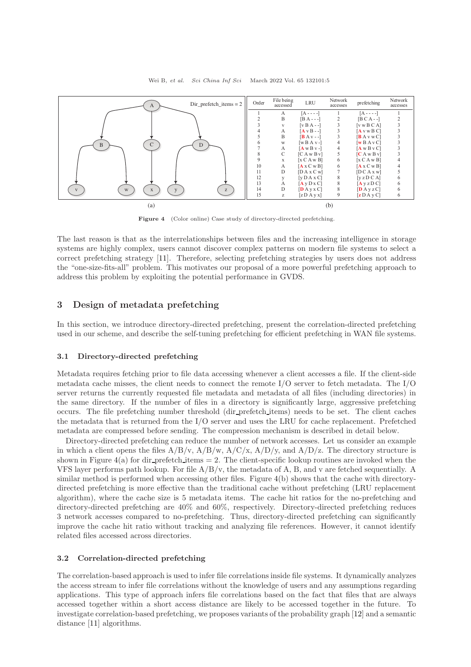<span id="page-4-0"></span>

Figure 4 (Color online) Case study of directory-directed prefetching.

The last reason is that as the interrelationships between files and the increasing intelligence in storage systems are highly complex, users cannot discover complex patterns on modern file systems to select a correct prefetching strategy [\[11\]](#page-16-7). Therefore, selecting prefetching strategies by users does not address the "one-size-fits-all" problem. This motivates our proposal of a more powerful prefetching approach to address this problem by exploiting the potential performance in GVDS.

# 3 Design of metadata prefetching

In this section, we introduce directory-directed prefetching, present the correlation-directed prefetching used in our scheme, and describe the self-tuning prefetching for efficient prefetching in WAN file systems.

#### 3.1 Directory-directed prefetching

Metadata requires fetching prior to file data accessing whenever a client accesses a file. If the client-side metadata cache misses, the client needs to connect the remote  $I/O$  server to fetch metadata. The  $I/O$ server returns the currently requested file metadata and metadata of all files (including directories) in the same directory. If the number of files in a directory is significantly large, aggressive prefetching occurs. The file prefetching number threshold (dir prefetch items) needs to be set. The client caches the metadata that is returned from the I/O server and uses the LRU for cache replacement. Prefetched metadata are compressed before sending. The compression mechanism is described in detail below.

Directory-directed prefetching can reduce the number of network accesses. Let us consider an example in which a client opens the files  $A/B/v$ ,  $A/B/w$ ,  $A/C/x$ ,  $A/D/y$ , and  $A/D/z$ . The directory structure is shown in Figure  $4(a)$  $4(a)$  for dir prefetch items  $= 2$ . The client-specific lookup routines are invoked when the VFS layer performs path lookup. For file A/B/v, the metadata of A, B, and v are fetched sequentially. A similar method is performed when accessing other files. Figure [4\(](#page-4-0)b) shows that the cache with directorydirected prefetching is more effective than the traditional cache without prefetching (LRU replacement algorithm), where the cache size is 5 metadata items. The cache hit ratios for the no-prefetching and directory-directed prefetching are  $40\%$  and  $60\%$ , respectively. Directory-directed prefetching reduces 3 network accesses compared to no-prefetching. Thus, directory-directed prefetching can significantly improve the cache hit ratio without tracking and analyzing file references. However, it cannot identify related files accessed across directories.

### 3.2 Correlation-directed prefetching

The correlation-based approach is used to infer file correlations inside file systems. It dynamically analyzes the access stream to infer file correlations without the knowledge of users and any assumptions regarding applications. This type of approach infers file correlations based on the fact that files that are always accessed together within a short access distance are likely to be accessed together in the future. To investigate correlation-based prefetching, we proposes variants of the probability graph [\[12\]](#page-16-8) and a semantic distance [\[11\]](#page-16-7) algorithms.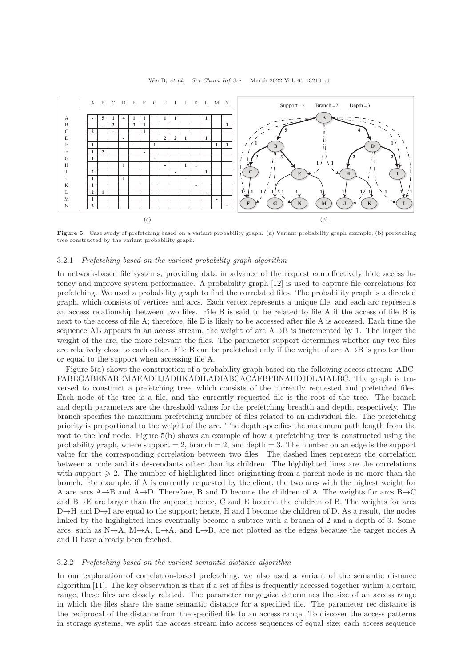<span id="page-5-0"></span>

Figure 5 Case study of prefetching based on a variant probability graph. (a) Variant probability graph example; (b) prefetching tree constructed by the variant probability graph.

### 3.2.1 Prefetching based on the variant probability graph algorithm

In network-based file systems, providing data in advance of the request can effectively hide access latency and improve system performance. A probability graph [\[12\]](#page-16-8) is used to capture file correlations for prefetching. We used a probability graph to find the correlated files. The probability graph is a directed graph, which consists of vertices and arcs. Each vertex represents a unique file, and each arc represents an access relationship between two files. File B is said to be related to file A if the access of file B is next to the access of file A; therefore, file B is likely to be accessed after file A is accessed. Each time the sequence AB appears in an access stream, the weight of arc  $A \rightarrow B$  is incremented by 1. The larger the weight of the arc, the more relevant the files. The parameter support determines whether any two files are relatively close to each other. File B can be prefetched only if the weight of arc  $A\rightarrow B$  is greater than or equal to the support when accessing file A.

Figure [5\(](#page-5-0)a) shows the construction of a probability graph based on the following access stream: ABC-FABEGABENABEMAEADHJADHKADILADIABCACAFBFBNAHDJDLAIALBC. The graph is traversed to construct a prefetching tree, which consists of the currently requested and prefetched files. Each node of the tree is a file, and the currently requested file is the root of the tree. The branch and depth parameters are the threshold values for the prefetching breadth and depth, respectively. The branch specifies the maximum prefetching number of files related to an individual file. The prefetching priority is proportional to the weight of the arc. The depth specifies the maximum path length from the root to the leaf node. Figure [5\(](#page-5-0)b) shows an example of how a prefetching tree is constructed using the probability graph, where support  $= 2$ , branch  $= 2$ , and depth  $= 3$ . The number on an edge is the support value for the corresponding correlation between two files. The dashed lines represent the correlation between a node and its descendants other than its children. The highlighted lines are the correlations with support  $\geq 2$ . The number of highlighted lines originating from a parent node is no more than the branch. For example, if A is currently requested by the client, the two arcs with the highest weight for A are arcs A $\rightarrow$ B and A $\rightarrow$ D. Therefore, B and D become the children of A. The weights for arcs B $\rightarrow$ C and B→E are larger than the support; hence, C and E become the children of B. The weights for arcs D→H and D→I are equal to the support; hence, H and I become the children of D. As a result, the nodes linked by the highlighted lines eventually become a subtree with a branch of 2 and a depth of 3. Some arcs, such as N $\rightarrow$ A, M $\rightarrow$ A, L $\rightarrow$ A, and L $\rightarrow$ B, are not plotted as the edges because the target nodes A and B have already been fetched.

#### 3.2.2 Prefetching based on the variant semantic distance algorithm

In our exploration of correlation-based prefetching, we also used a variant of the semantic distance algorithm [\[11\]](#page-16-7). The key observation is that if a set of files is frequently accessed together within a certain range, these files are closely related. The parameter range size determines the size of an access range in which the files share the same semantic distance for a specified file. The parameter rec distance is the reciprocal of the distance from the specified file to an access range. To discover the access patterns in storage systems, we split the access stream into access sequences of equal size; each access sequence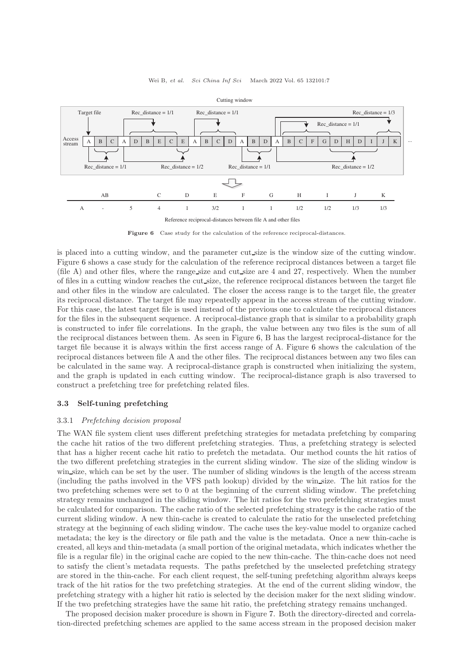<span id="page-6-0"></span>

Figure 6 Case study for the calculation of the reference reciprocal-distances.

is placed into a cutting window, and the parameter cut size is the window size of the cutting window. Figure [6](#page-6-0) shows a case study for the calculation of the reference reciprocal distances between a target file (file A) and other files, where the range size and cut size are 4 and 27, respectively. When the number of files in a cutting window reaches the cut size, the reference reciprocal distances between the target file and other files in the window are calculated. The closer the access range is to the target file, the greater its reciprocal distance. The target file may repeatedly appear in the access stream of the cutting window. For this case, the latest target file is used instead of the previous one to calculate the reciprocal distances for the files in the subsequent sequence. A reciprocal-distance graph that is similar to a probability graph is constructed to infer file correlations. In the graph, the value between any two files is the sum of all the reciprocal distances between them. As seen in Figure [6,](#page-6-0) B has the largest reciprocal-distance for the target file because it is always within the first access range of A. Figure [6](#page-6-0) shows the calculation of the reciprocal distances between file A and the other files. The reciprocal distances between any two files can be calculated in the same way. A reciprocal-distance graph is constructed when initializing the system, and the graph is updated in each cutting window. The reciprocal-distance graph is also traversed to construct a prefetching tree for prefetching related files.

# 3.3 Self-tuning prefetching

### 3.3.1 Prefetching decision proposal

The WAN file system client uses different prefetching strategies for metadata prefetching by comparing the cache hit ratios of the two different prefetching strategies. Thus, a prefetching strategy is selected that has a higher recent cache hit ratio to prefetch the metadata. Our method counts the hit ratios of the two different prefetching strategies in the current sliding window. The size of the sliding window is win size, which can be set by the user. The number of sliding windows is the length of the access stream (including the paths involved in the VFS path lookup) divided by the win size. The hit ratios for the two prefetching schemes were set to 0 at the beginning of the current sliding window. The prefetching strategy remains unchanged in the sliding window. The hit ratios for the two prefetching strategies must be calculated for comparison. The cache ratio of the selected prefetching strategy is the cache ratio of the current sliding window. A new thin-cache is created to calculate the ratio for the unselected prefetching strategy at the beginning of each sliding window. The cache uses the key-value model to organize cached metadata; the key is the directory or file path and the value is the metadata. Once a new thin-cache is created, all keys and thin-metadata (a small portion of the original metadata, which indicates whether the file is a regular file) in the original cache are copied to the new thin-cache. The thin-cache does not need to satisfy the client's metadata requests. The paths prefetched by the unselected prefetching strategy are stored in the thin-cache. For each client request, the self-tuning prefetching algorithm always keeps track of the hit ratios for the two prefetching strategies. At the end of the current sliding window, the prefetching strategy with a higher hit ratio is selected by the decision maker for the next sliding window. If the two prefetching strategies have the same hit ratio, the prefetching strategy remains unchanged.

The proposed decision maker procedure is shown in Figure [7.](#page-7-0) Both the directory-directed and correlation-directed prefetching schemes are applied to the same access stream in the proposed decision maker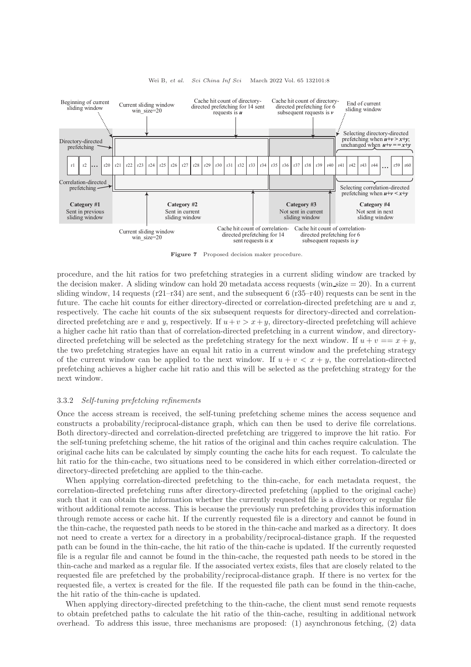<span id="page-7-0"></span>

Wei B, et al. Sci China Inf Sci March 2022 Vol. 65 132101:8

Figure 7 Proposed decision maker procedure.

procedure, and the hit ratios for two prefetching strategies in a current sliding window are tracked by the decision maker. A sliding window can hold 20 metadata access requests (win size  $= 20$ ). In a current sliding window, 14 requests  $(r21-r34)$  are sent, and the subsequent 6  $(r35-r40)$  requests can be sent in the future. The cache hit counts for either directory-directed or correlation-directed prefetching are  $u$  and  $x$ , respectively. The cache hit counts of the six subsequent requests for directory-directed and correlationdirected prefetching are v and y, respectively. If  $u + v > x + y$ , directory-directed prefetching will achieve a higher cache hit ratio than that of correlation-directed prefetching in a current window, and directorydirected prefetching will be selected as the prefetching strategy for the next window. If  $u + v = x + y$ , the two prefetching strategies have an equal hit ratio in a current window and the prefetching strategy of the current window can be applied to the next window. If  $u + v < x + y$ , the correlation-directed prefetching achieves a higher cache hit ratio and this will be selected as the prefetching strategy for the next window.

### 3.3.2 Self-tuning prefetching refinements

Once the access stream is received, the self-tuning prefetching scheme mines the access sequence and constructs a probability/reciprocal-distance graph, which can then be used to derive file correlations. Both directory-directed and correlation-directed prefetching are triggered to improve the hit ratio. For the self-tuning prefetching scheme, the hit ratios of the original and thin caches require calculation. The original cache hits can be calculated by simply counting the cache hits for each request. To calculate the hit ratio for the thin-cache, two situations need to be considered in which either correlation-directed or directory-directed prefetching are applied to the thin-cache.

When applying correlation-directed prefetching to the thin-cache, for each metadata request, the correlation-directed prefetching runs after directory-directed prefetching (applied to the original cache) such that it can obtain the information whether the currently requested file is a directory or regular file without additional remote access. This is because the previously run prefetching provides this information through remote access or cache hit. If the currently requested file is a directory and cannot be found in the thin-cache, the requested path needs to be stored in the thin-cache and marked as a directory. It does not need to create a vertex for a directory in a probability/reciprocal-distance graph. If the requested path can be found in the thin-cache, the hit ratio of the thin-cache is updated. If the currently requested file is a regular file and cannot be found in the thin-cache, the requested path needs to be stored in the thin-cache and marked as a regular file. If the associated vertex exists, files that are closely related to the requested file are prefetched by the probability/reciprocal-distance graph. If there is no vertex for the requested file, a vertex is created for the file. If the requested file path can be found in the thin-cache, the hit ratio of the thin-cache is updated.

When applying directory-directed prefetching to the thin-cache, the client must send remote requests to obtain prefetched paths to calculate the hit ratio of the thin-cache, resulting in additional network overhead. To address this issue, three mechanisms are proposed: (1) asynchronous fetching, (2) data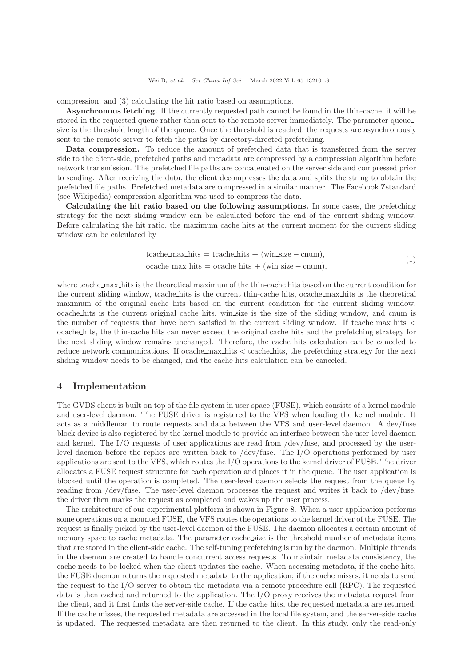compression, and (3) calculating the hit ratio based on assumptions.

Asynchronous fetching. If the currently requested path cannot be found in the thin-cache, it will be stored in the requested queue rather than sent to the remote server immediately. The parameter queue size is the threshold length of the queue. Once the threshold is reached, the requests are asynchronously sent to the remote server to fetch the paths by directory-directed prefetching.

Data compression. To reduce the amount of prefetched data that is transferred from the server side to the client-side, prefetched paths and metadata are compressed by a compression algorithm before network transmission. The prefetched file paths are concatenated on the server side and compressed prior to sending. After receiving the data, the client decompresses the data and splits the string to obtain the prefetched file paths. Prefetched metadata are compressed in a similar manner. The Facebook Zstandard (see Wikipedia) compression algorithm was used to compress the data.

Calculating the hit ratio based on the following assumptions. In some cases, the prefetching strategy for the next sliding window can be calculated before the end of the current sliding window. Before calculating the hit ratio, the maximum cache hits at the current moment for the current sliding window can be calculated by

$$
tcache\_max\_hits = tcache\_hits + (win\_size - enum),
$$
  

$$
ocache\_max\_hits = ocache\_hits + (win\_size - enum),
$$
 (1)

where tcache max hits is the theoretical maximum of the thin-cache hits based on the current condition for the current sliding window, tcache hits is the current thin-cache hits, ocache max hits is the theoretical maximum of the original cache hits based on the current condition for the current sliding window, ocache hits is the current original cache hits, win size is the size of the sliding window, and cnum is the number of requests that have been satisfied in the current sliding window. If tcache max hits < ocache hits, the thin-cache hits can never exceed the original cache hits and the prefetching strategy for the next sliding window remains unchanged. Therefore, the cache hits calculation can be canceled to reduce network communications. If ocache max hits  $\lt$  tcache hits, the prefetching strategy for the next sliding window needs to be changed, and the cache hits calculation can be canceled.

# 4 Implementation

The GVDS client is built on top of the file system in user space (FUSE), which consists of a kernel module and user-level daemon. The FUSE driver is registered to the VFS when loading the kernel module. It acts as a middleman to route requests and data between the VFS and user-level daemon. A dev/fuse block device is also registered by the kernel module to provide an interface between the user-level daemon and kernel. The I/O requests of user applications are read from /dev/fuse, and processed by the userlevel daemon before the replies are written back to /dev/fuse. The I/O operations performed by user applications are sent to the VFS, which routes the I/O operations to the kernel driver of FUSE. The driver allocates a FUSE request structure for each operation and places it in the queue. The user application is blocked until the operation is completed. The user-level daemon selects the request from the queue by reading from /dev/fuse. The user-level daemon processes the request and writes it back to /dev/fuse; the driver then marks the request as completed and wakes up the user process.

The architecture of our experimental platform is shown in Figure [8.](#page-9-0) When a user application performs some operations on a mounted FUSE, the VFS routes the operations to the kernel driver of the FUSE. The request is finally picked by the user-level daemon of the FUSE. The daemon allocates a certain amount of memory space to cache metadata. The parameter cache size is the threshold number of metadata items that are stored in the client-side cache. The self-tuning prefetching is run by the daemon. Multiple threads in the daemon are created to handle concurrent access requests. To maintain metadata consistency, the cache needs to be locked when the client updates the cache. When accessing metadata, if the cache hits, the FUSE daemon returns the requested metadata to the application; if the cache misses, it needs to send the request to the I/O server to obtain the metadata via a remote procedure call (RPC). The requested data is then cached and returned to the application. The I/O proxy receives the metadata request from the client, and it first finds the server-side cache. If the cache hits, the requested metadata are returned. If the cache misses, the requested metadata are accessed in the local file system, and the server-side cache is updated. The requested metadata are then returned to the client. In this study, only the read-only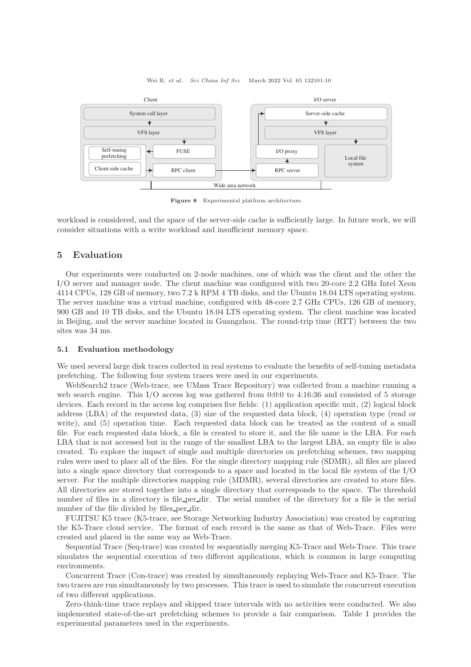#### Wei B, et al. Sci China Inf Sci March 2022 Vol. 65 132101:10

<span id="page-9-0"></span>

Figure 8 Experimental platform architecture.

workload is considered, and the space of the server-side cache is sufficiently large. In future work, we will consider situations with a write workload and insufficient memory space.

# 5 Evaluation

Our experiments were conducted on 2-node machines, one of which was the client and the other the I/O server and manager node. The client machine was configured with two 20-core 2.2 GHz Intel Xeon 4114 CPUs, 128 GB of memory, two 7.2 k RPM 4 TB disks, and the Ubuntu 18.04 LTS operating system. The server machine was a virtual machine, configured with 48-core 2.7 GHz CPUs, 126 GB of memory, 900 GB and 10 TB disks, and the Ubuntu 18.04 LTS operating system. The client machine was located in Beijing, and the server machine located in Guangzhou. The round-trip time (RTT) between the two sites was 34 ms.

# 5.1 Evaluation methodology

We used several large disk traces collected in real systems to evaluate the benefits of self-tuning metadata prefetching. The following four system traces were used in our experiments.

WebSearch2 trace (Web-trace, see UMass Trace Repository) was collected from a machine running a web search engine. This I/O access log was gathered from 0:0:0 to 4:16:36 and consisted of 5 storage devices. Each record in the access log comprises five fields: (1) application specific unit, (2) logical block address (LBA) of the requested data, (3) size of the requested data block, (4) operation type (read or write), and (5) operation time. Each requested data block can be treated as the content of a small file. For each requested data block, a file is created to store it, and the file name is the LBA. For each LBA that is not accessed but in the range of the smallest LBA to the largest LBA, an empty file is also created. To explore the impact of single and multiple directories on prefetching schemes, two mapping rules were used to place all of the files. For the single directory mapping rule (SDMR), all files are placed into a single space directory that corresponds to a space and located in the local file system of the I/O server. For the multiple directories mapping rule (MDMR), several directories are created to store files. All directories are stored together into a single directory that corresponds to the space. The threshold number of files in a directory is file per dir. The serial number of the directory for a file is the serial number of the file divided by files per dir.

FUJITSU K5 trace (K5-trace, see Storage Networking Industry Association) was created by capturing the K5-Trace cloud service. The format of each record is the same as that of Web-Trace. Files were created and placed in the same way as Web-Trace.

Sequential Trace (Seq-trace) was created by sequentially merging K5-Trace and Web-Trace. This trace simulates the sequential execution of two different applications, which is common in large computing environments.

Concurrent Trace (Con-trace) was created by simultaneously replaying Web-Trace and K5-Trace. The two traces are run simultaneously by two processes. This trace is used to simulate the concurrent execution of two different applications.

Zero-think-time trace replays and skipped trace intervals with no activities were conducted. We also implemented state-of-the-art prefetching schemes to provide a fair comparison. Table [1](#page-10-0) provides the experimental parameters used in the experiments.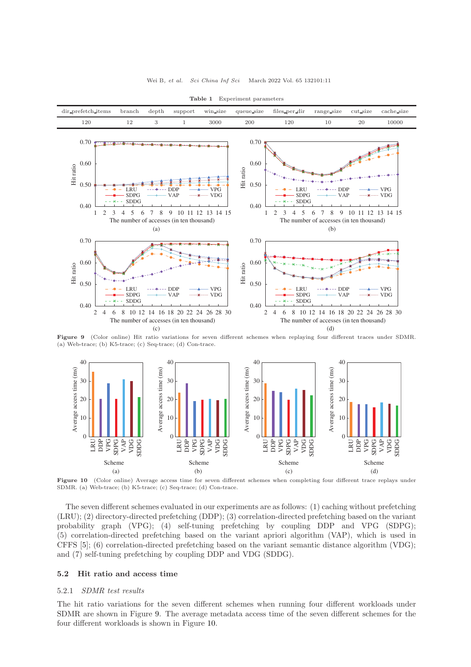<span id="page-10-1"></span><span id="page-10-0"></span>

Table 1 Experiment parameters

Figure 9 (Color online) Hit ratio variations for seven different schemes when replaying four different traces under SDMR. (a) Web-trace; (b) K5-trace; (c) Seq-trace; (d) Con-trace.

<span id="page-10-2"></span>

Figure 10 (Color online) Average access time for seven different schemes when completing four different trace replays under SDMR. (a) Web-trace; (b) K5-trace; (c) Seq-trace; (d) Con-trace.

The seven different schemes evaluated in our experiments are as follows: (1) caching without prefetching (LRU); (2) directory-directed prefetching (DDP); (3) correlation-directed prefetching based on the variant probability graph (VPG); (4) self-tuning prefetching by coupling DDP and VPG (SDPG); (5) correlation-directed prefetching based on the variant apriori algorithm (VAP), which is used in CFFS [\[5\]](#page-16-3); (6) correlation-directed prefetching based on the variant semantic distance algorithm (VDG); and (7) self-tuning prefetching by coupling DDP and VDG (SDDG).

### 5.2 Hit ratio and access time

#### 5.2.1 SDMR test results

The hit ratio variations for the seven different schemes when running four different workloads under SDMR are shown in Figure [9.](#page-10-1) The average metadata access time of the seven different schemes for the four different workloads is shown in Figure [10.](#page-10-2)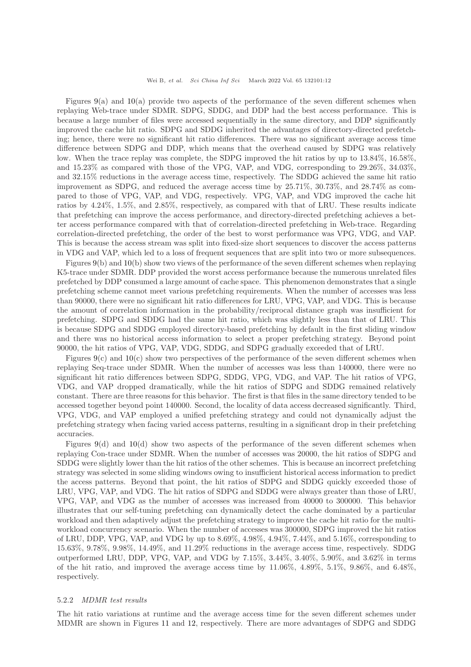Wei B, et al. Sci China Inf Sci March 2022 Vol. 65 132101:12

Figures  $9(a)$  $9(a)$  and  $10(a)$  $10(a)$  provide two aspects of the performance of the seven different schemes when replaying Web-trace under SDMR. SDPG, SDDG, and DDP had the best access performance. This is because a large number of files were accessed sequentially in the same directory, and DDP significantly improved the cache hit ratio. SDPG and SDDG inherited the advantages of directory-directed prefetching; hence, there were no significant hit ratio differences. There was no significant average access time difference between SDPG and DDP, which means that the overhead caused by SDPG was relatively low. When the trace replay was complete, the SDPG improved the hit ratios by up to 13.84%, 16.58%, and 15.23% as compared with those of the VPG, VAP, and VDG, corresponding to 29.26%, 34.03%, and 32.15% reductions in the average access time, respectively. The SDDG achieved the same hit ratio improvement as SDPG, and reduced the average access time by 25.71%, 30.73%, and 28.74% as compared to those of VPG, VAP, and VDG, respectively. VPG, VAP, and VDG improved the cache hit ratios by 4.24%, 1.5%, and 2.85%, respectively, as compared with that of LRU. These results indicate that prefetching can improve the access performance, and directory-directed prefetching achieves a better access performance compared with that of correlation-directed prefetching in Web-trace. Regarding correlation-directed prefetching, the order of the best to worst performance was VPG, VDG, and VAP. This is because the access stream was split into fixed-size short sequences to discover the access patterns in VDG and VAP, which led to a loss of frequent sequences that are split into two or more subsequences.

Figures [9\(](#page-10-1)b) and [10\(](#page-10-2)b) show two views of the performance of the seven different schemes when replaying K5-trace under SDMR. DDP provided the worst access performance because the numerous unrelated files prefetched by DDP consumed a large amount of cache space. This phenomenon demonstrates that a single prefetching scheme cannot meet various prefetching requirements. When the number of accesses was less than 90000, there were no significant hit ratio differences for LRU, VPG, VAP, and VDG. This is because the amount of correlation information in the probability/reciprocal distance graph was insufficient for prefetching. SDPG and SDDG had the same hit ratio, which was slightly less than that of LRU. This is because SDPG and SDDG employed directory-based prefetching by default in the first sliding window and there was no historical access information to select a proper prefetching strategy. Beyond point 90000, the hit ratios of VPG, VAP, VDG, SDDG, and SDPG gradually exceeded that of LRU.

Figures  $9(c)$  $9(c)$  and  $10(c)$  $10(c)$  show two perspectives of the performance of the seven different schemes when replaying Seq-trace under SDMR. When the number of accesses was less than 140000, there were no significant hit ratio differences between SDPG, SDDG, VPG, VDG, and VAP. The hit ratios of VPG, VDG, and VAP dropped dramatically, while the hit ratios of SDPG and SDDG remained relatively constant. There are three reasons for this behavior. The first is that files in the same directory tended to be accessed together beyond point 140000. Second, the locality of data access decreased significantly. Third, VPG, VDG, and VAP employed a unified prefetching strategy and could not dynamically adjust the prefetching strategy when facing varied access patterns, resulting in a significant drop in their prefetching accuracies.

Figures  $9(d)$  $9(d)$  and  $10(d)$  $10(d)$  show two aspects of the performance of the seven different schemes when replaying Con-trace under SDMR. When the number of accesses was 20000, the hit ratios of SDPG and SDDG were slightly lower than the hit ratios of the other schemes. This is because an incorrect prefetching strategy was selected in some sliding windows owing to insufficient historical access information to predict the access patterns. Beyond that point, the hit ratios of SDPG and SDDG quickly exceeded those of LRU, VPG, VAP, and VDG. The hit ratios of SDPG and SDDG were always greater than those of LRU, VPG, VAP, and VDG as the number of accesses was increased from 40000 to 300000. This behavior illustrates that our self-tuning prefetching can dynamically detect the cache dominated by a particular workload and then adaptively adjust the prefetching strategy to improve the cache hit ratio for the multiworkload concurrency scenario. When the number of accesses was 300000, SDPG improved the hit ratios of LRU, DDP, VPG, VAP, and VDG by up to 8.69%, 4.98%, 4.94%, 7.44%, and 5.16%, corresponding to 15.63%, 9.78%, 9.98%, 14.49%, and 11.29% reductions in the average access time, respectively. SDDG outperformed LRU, DDP, VPG, VAP, and VDG by 7.15%, 3.44%, 3.40%, 5.90%, and 3.62% in terms of the hit ratio, and improved the average access time by 11.06%, 4.89%, 5.1%, 9.86%, and 6.48%, respectively.

#### 5.2.2 MDMR test results

The hit ratio variations at runtime and the average access time for the seven different schemes under MDMR are shown in Figures [11](#page-12-0) and [12,](#page-12-1) respectively. There are more advantages of SDPG and SDDG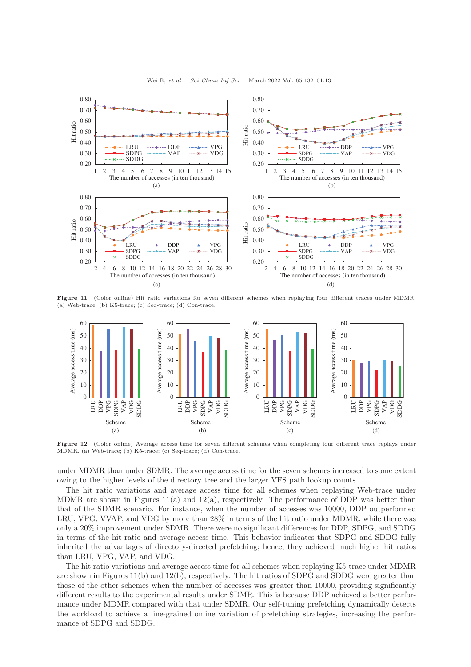<span id="page-12-0"></span>

Wei B, et al. Sci China Inf Sci March 2022 Vol. 65 132101:13

Figure 11 (Color online) Hit ratio variations for seven different schemes when replaying four different traces under MDMR. (a) Web-trace; (b) K5-trace; (c) Seq-trace; (d) Con-trace.

<span id="page-12-1"></span>

Figure 12 (Color online) Average access time for seven different schemes when completing four different trace replays under MDMR. (a) Web-trace; (b) K5-trace; (c) Seq-trace; (d) Con-trace.

under MDMR than under SDMR. The average access time for the seven schemes increased to some extent owing to the higher levels of the directory tree and the larger VFS path lookup counts.

The hit ratio variations and average access time for all schemes when replaying Web-trace under MDMR are shown in Figures [11\(](#page-12-0)a) and [12\(](#page-12-1)a), respectively. The performance of DDP was better than that of the SDMR scenario. For instance, when the number of accesses was 10000, DDP outperformed LRU, VPG, VVAP, and VDG by more than 28% in terms of the hit ratio under MDMR, while there was only a 20% improvement under SDMR. There were no significant differences for DDP, SDPG, and SDDG in terms of the hit ratio and average access time. This behavior indicates that SDPG and SDDG fully inherited the advantages of directory-directed prefetching; hence, they achieved much higher hit ratios than LRU, VPG, VAP, and VDG.

The hit ratio variations and average access time for all schemes when replaying K5-trace under MDMR are shown in Figures [11\(](#page-12-0)b) and [12\(](#page-12-1)b), respectively. The hit ratios of SDPG and SDDG were greater than those of the other schemes when the number of accesses was greater than 10000, providing significantly different results to the experimental results under SDMR. This is because DDP achieved a better performance under MDMR compared with that under SDMR. Our self-tuning prefetching dynamically detects the workload to achieve a fine-grained online variation of prefetching strategies, increasing the performance of SDPG and SDDG.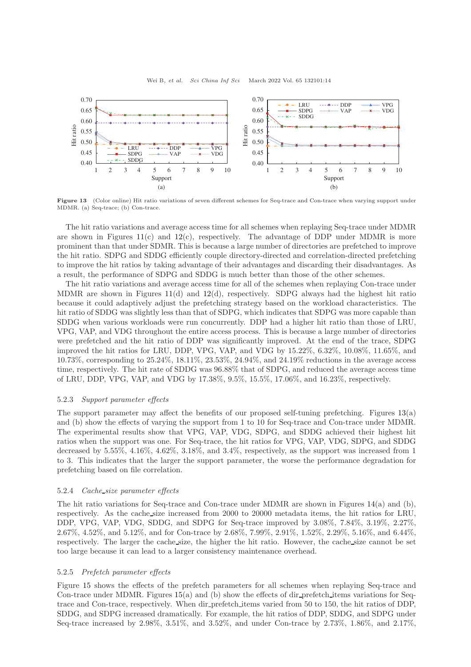<span id="page-13-0"></span>

Figure 13 (Color online) Hit ratio variations of seven different schemes for Seq-trace and Con-trace when varying support under MDMR. (a) Seq-trace; (b) Con-trace.

The hit ratio variations and average access time for all schemes when replaying Seq-trace under MDMR are shown in Figures  $11(c)$  $11(c)$  and  $12(c)$  $12(c)$ , respectively. The advantage of DDP under MDMR is more prominent than that under SDMR. This is because a large number of directories are prefetched to improve the hit ratio. SDPG and SDDG efficiently couple directory-directed and correlation-directed prefetching to improve the hit ratios by taking advantage of their advantages and discarding their disadvantages. As a result, the performance of SDPG and SDDG is much better than those of the other schemes.

The hit ratio variations and average access time for all of the schemes when replaying Con-trace under MDMR are shown in Figures [11\(](#page-12-0)d) and [12\(](#page-12-1)d), respectively. SDPG always had the highest hit ratio because it could adaptively adjust the prefetching strategy based on the workload characteristics. The hit ratio of SDDG was slightly less than that of SDPG, which indicates that SDPG was more capable than SDDG when various workloads were run concurrently. DDP had a higher hit ratio than those of LRU, VPG, VAP, and VDG throughout the entire access process. This is because a large number of directories were prefetched and the hit ratio of DDP was significantly improved. At the end of the trace, SDPG improved the hit ratios for LRU, DDP, VPG, VAP, and VDG by 15.22%, 6.32%, 10.08%, 11.65%, and 10.73%, corresponding to 25.24%, 18.11%, 23.53%, 24.94%, and 24.19% reductions in the average access time, respectively. The hit rate of SDDG was 96.88% that of SDPG, and reduced the average access time of LRU, DDP, VPG, VAP, and VDG by 17.38%, 9.5%, 15.5%, 17.06%, and 16.23%, respectively.

#### 5.2.3 Support parameter effects

The support parameter may affect the benefits of our proposed self-tuning prefetching. Figures [13\(](#page-13-0)a) and (b) show the effects of varying the support from 1 to 10 for Seq-trace and Con-trace under MDMR. The experimental results show that VPG, VAP, VDG, SDPG, and SDDG achieved their highest hit ratios when the support was one. For Seq-trace, the hit ratios for VPG, VAP, VDG, SDPG, and SDDG decreased by 5.55%, 4.16%, 4.62%, 3.18%, and 3.4%, respectively, as the support was increased from 1 to 3. This indicates that the larger the support parameter, the worse the performance degradation for prefetching based on file correlation.

# 5.2.4 Cache size parameter effects

The hit ratio variations for Seq-trace and Con-trace under MDMR are shown in Figures [14\(](#page-14-0)a) and (b), respectively. As the cache size increased from 2000 to 20000 metadata items, the hit ratios for LRU, DDP, VPG, VAP, VDG, SDDG, and SDPG for Seq-trace improved by 3.08%, 7.84%, 3.19%, 2.27%, 2.67%, 4.52%, and 5.12%, and for Con-trace by 2.68%, 7.99%, 2.91%, 1.52%, 2.29%, 5.16%, and 6.44%, respectively. The larger the cache size, the higher the hit ratio. However, the cache size cannot be set too large because it can lead to a larger consistency maintenance overhead.

# 5.2.5 Prefetch parameter effects

Figure [15](#page-14-1) shows the effects of the prefetch parameters for all schemes when replaying Seq-trace and Con-trace under MDMR. Figures [15\(](#page-14-1)a) and (b) show the effects of dir prefetch items variations for Seqtrace and Con-trace, respectively. When dir prefetch items varied from 50 to 150, the hit ratios of DDP, SDDG, and SDPG increased dramatically. For example, the hit ratios of DDP, SDDG, and SDPG under Seq-trace increased by 2.98%, 3.51%, and 3.52%, and under Con-trace by 2.73%, 1.86%, and 2.17%,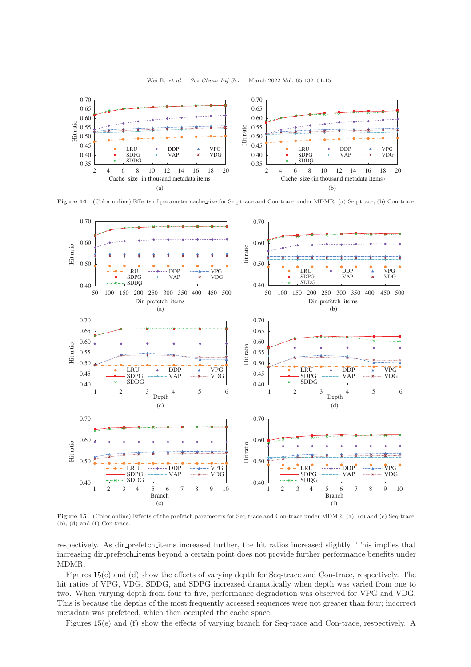<span id="page-14-0"></span>

Figure 14 (Color online) Effects of parameter cache size for Seq-trace and Con-trace under MDMR. (a) Seq-trace; (b) Con-trace.

<span id="page-14-1"></span>

Figure 15 (Color online) Effects of the prefetch parameters for Seq-trace and Con-trace under MDMR. (a), (c) and (e) Seq-trace; (b), (d) and (f) Con-trace.

respectively. As dir prefetch items increased further, the hit ratios increased slightly. This implies that increasing dir prefetch items beyond a certain point does not provide further performance benefits under MDMR.

Figures [15\(](#page-14-1)c) and (d) show the effects of varying depth for Seq-trace and Con-trace, respectively. The hit ratios of VPG, VDG, SDDG, and SDPG increased dramatically when depth was varied from one to two. When varying depth from four to five, performance degradation was observed for VPG and VDG. This is because the depths of the most frequently accessed sequences were not greater than four; incorrect metadata was prefetced, which then occupied the cache space.

Figures [15\(](#page-14-1)e) and (f) show the effects of varying branch for Seq-trace and Con-trace, respectively. A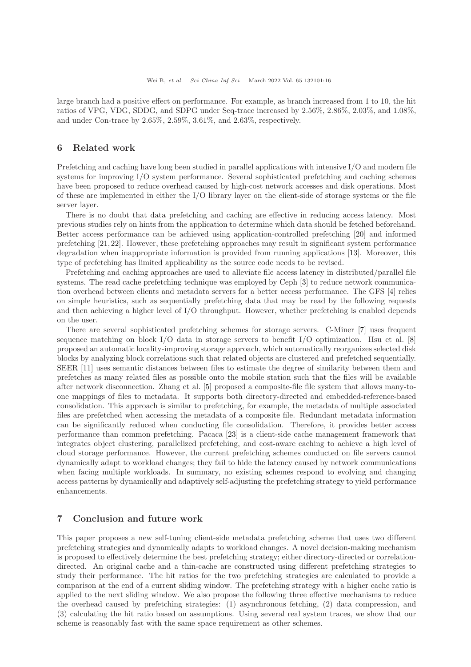large branch had a positive effect on performance. For example, as branch increased from 1 to 10, the hit ratios of VPG, VDG, SDDG, and SDPG under Seq-trace increased by 2.56%, 2.86%, 2.03%, and 1.08%, and under Con-trace by 2.65%, 2.59%, 3.61%, and 2.63%, respectively.

# 6 Related work

Prefetching and caching have long been studied in parallel applications with intensive I/O and modern file systems for improving I/O system performance. Several sophisticated prefetching and caching schemes have been proposed to reduce overhead caused by high-cost network accesses and disk operations. Most of these are implemented in either the I/O library layer on the client-side of storage systems or the file server layer.

There is no doubt that data prefetching and caching are effective in reducing access latency. Most previous studies rely on hints from the application to determine which data should be fetched beforehand. Better access performance can be achieved using application-controlled prefetching [\[20\]](#page-16-15) and informed prefetching [\[21,](#page-16-16)[22\]](#page-16-17). However, these prefetching approaches may result in significant system performance degradation when inappropriate information is provided from running applications [\[13\]](#page-16-9). Moreover, this type of prefetching has limited applicability as the source code needs to be revised.

Prefetching and caching approaches are used to alleviate file access latency in distributed/parallel file systems. The read cache prefetching technique was employed by Ceph [\[3\]](#page-16-5) to reduce network communication overhead between clients and metadata servers for a better access performance. The GFS [\[4\]](#page-16-18) relies on simple heuristics, such as sequentially prefetching data that may be read by the following requests and then achieving a higher level of I/O throughput. However, whether prefetching is enabled depends on the user.

There are several sophisticated prefetching schemes for storage servers. C-Miner [\[7\]](#page-16-6) uses frequent sequence matching on block I/O data in storage servers to benefit I/O optimization. Hsu et al.  $[8]$ proposed an automatic locality-improving storage approach, which automatically reorganizes selected disk blocks by analyzing block correlations such that related objects are clustered and prefetched sequentially. SEER [\[11\]](#page-16-7) uses semantic distances between files to estimate the degree of similarity between them and prefetches as many related files as possible onto the mobile station such that the files will be available after network disconnection. Zhang et al. [\[5\]](#page-16-3) proposed a composite-file file system that allows many-toone mappings of files to metadata. It supports both directory-directed and embedded-reference-based consolidation. This approach is similar to prefetching, for example, the metadata of multiple associated files are prefetched when accessing the metadata of a composite file. Redundant metadata information can be significantly reduced when conducting file consolidation. Therefore, it provides better access performance than common prefetching. Pacaca [\[23\]](#page-16-20) is a client-side cache management framework that integrates object clustering, parallelized prefetching, and cost-aware caching to achieve a high level of cloud storage performance. However, the current prefetching schemes conducted on file servers cannot dynamically adapt to workload changes; they fail to hide the latency caused by network communications when facing multiple workloads. In summary, no existing schemes respond to evolving and changing access patterns by dynamically and adaptively self-adjusting the prefetching strategy to yield performance enhancements.

# 7 Conclusion and future work

This paper proposes a new self-tuning client-side metadata prefetching scheme that uses two different prefetching strategies and dynamically adapts to workload changes. A novel decision-making mechanism is proposed to effectively determine the best prefetching strategy; either directory-directed or correlationdirected. An original cache and a thin-cache are constructed using different prefetching strategies to study their performance. The hit ratios for the two prefetching strategies are calculated to provide a comparison at the end of a current sliding window. The prefetching strategy with a higher cache ratio is applied to the next sliding window. We also propose the following three effective mechanisms to reduce the overhead caused by prefetching strategies: (1) asynchronous fetching, (2) data compression, and (3) calculating the hit ratio based on assumptions. Using several real system traces, we show that our scheme is reasonably fast with the same space requirement as other schemes.